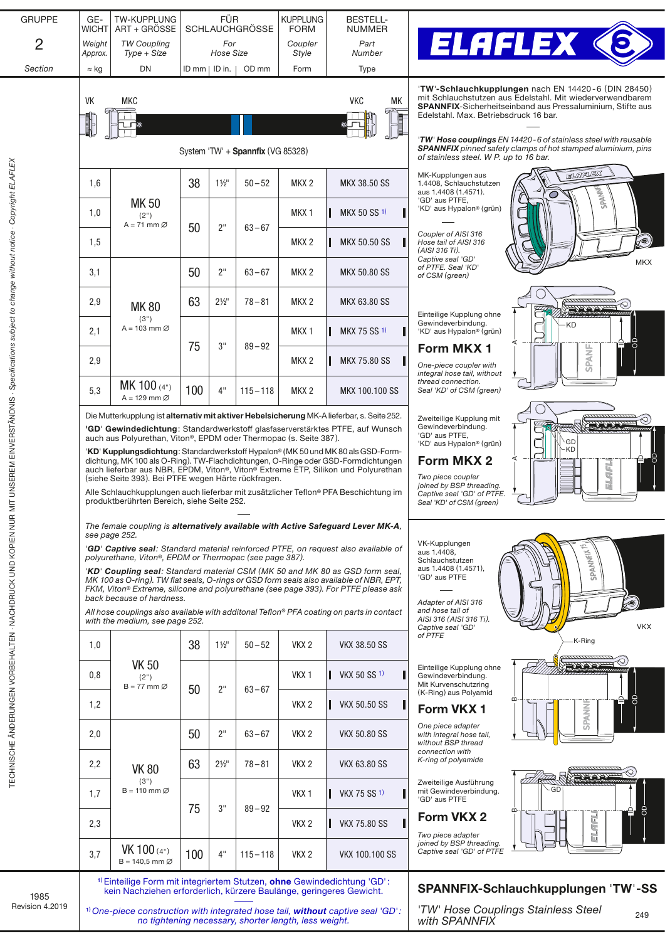| <b>GRUPPE</b>                                                                                | GE-<br>WICHT                                           | TW-KUPPLUNG<br>ART + GROSSE                                                                                                                                                                                                                                                                                                                                                                                                                                                                                                                                                                                                                                                                                                                                                                              | <b>FÜR</b><br><b>SCHLAUCHGRÖSSE</b> |                |                                   | <b>KUPPLUNG</b><br><b>FORM</b>                                                                                                                                                                                                                                                                                                                                                                                           | <b>BESTELL-</b><br><b>NUMMER</b>                                                                                                                                                                                               |                                                                                          |  |  |
|----------------------------------------------------------------------------------------------|--------------------------------------------------------|----------------------------------------------------------------------------------------------------------------------------------------------------------------------------------------------------------------------------------------------------------------------------------------------------------------------------------------------------------------------------------------------------------------------------------------------------------------------------------------------------------------------------------------------------------------------------------------------------------------------------------------------------------------------------------------------------------------------------------------------------------------------------------------------------------|-------------------------------------|----------------|-----------------------------------|--------------------------------------------------------------------------------------------------------------------------------------------------------------------------------------------------------------------------------------------------------------------------------------------------------------------------------------------------------------------------------------------------------------------------|--------------------------------------------------------------------------------------------------------------------------------------------------------------------------------------------------------------------------------|------------------------------------------------------------------------------------------|--|--|
| $\overline{2}$                                                                               | Weight<br><b>TW Coupling</b><br>Approx.<br>Type + Size |                                                                                                                                                                                                                                                                                                                                                                                                                                                                                                                                                                                                                                                                                                                                                                                                          | For<br>Hose Size                    |                |                                   | Coupler<br>Style                                                                                                                                                                                                                                                                                                                                                                                                         | Part<br>Number                                                                                                                                                                                                                 | <b>ELAFLEX &lt;</b>                                                                      |  |  |
| Section                                                                                      | $\approx$ kg                                           | DN                                                                                                                                                                                                                                                                                                                                                                                                                                                                                                                                                                                                                                                                                                                                                                                                       | $ID$ mm $ ID$ in.                   |                | OD mm                             | Form                                                                                                                                                                                                                                                                                                                                                                                                                     | Type                                                                                                                                                                                                                           |                                                                                          |  |  |
|                                                                                              | VK                                                     | MKC                                                                                                                                                                                                                                                                                                                                                                                                                                                                                                                                                                                                                                                                                                                                                                                                      |                                     |                | System 'TW' + Spannfix (VG 85328) | 'TW'-Schlauchkupplungen nach EN 14420-6 (DIN 28450)<br>mit Schlauchstutzen aus Edelstahl. Mit wiederverwendbarem<br><b>SPANNFIX-Sicherheitseinband aus Pressaluminium, Stifte aus</b><br>Edelstahl. Max. Betriebsdruck 16 bar.<br><b>TW' Hose couplings</b> EN 14420-6 of stainless steel with reusable<br><b>SPANNFIX</b> pinned safety clamps of hot stamped aluminium, pins<br>of stainless steel. W P. up to 16 bar. |                                                                                                                                                                                                                                |                                                                                          |  |  |
|                                                                                              | 1,6                                                    |                                                                                                                                                                                                                                                                                                                                                                                                                                                                                                                                                                                                                                                                                                                                                                                                          | 38<br>$1\frac{1}{2}$                |                | $50 - 52$                         | MKX <sub>2</sub>                                                                                                                                                                                                                                                                                                                                                                                                         | <b>MKX 38.50 SS</b>                                                                                                                                                                                                            | <b>ELAPLEX</b><br>MK-Kupplungen aus<br>1.4408, Schlauchstutzen                           |  |  |
|                                                                                              | 1,0                                                    | <b>MK50</b><br>(2")                                                                                                                                                                                                                                                                                                                                                                                                                                                                                                                                                                                                                                                                                                                                                                                      |                                     |                |                                   | MKX 1                                                                                                                                                                                                                                                                                                                                                                                                                    | MKX 50 SS 1)                                                                                                                                                                                                                   | SPAN <sup>NE</sup><br>aus 1.4408 (1.4571).<br>'GD' aus PTFE,<br>'KD' aus Hypalon® (grün) |  |  |
| UNSEREM EINVERSTÄNDNIS · Specifications subject to change without notice · Copyright ELAFLEX | 1,5                                                    | $A = 71$ mm $\varnothing$                                                                                                                                                                                                                                                                                                                                                                                                                                                                                                                                                                                                                                                                                                                                                                                | 50                                  | 2"             | $63 - 67$                         | MKX <sub>2</sub>                                                                                                                                                                                                                                                                                                                                                                                                         | <b>MKX 50.50 SS</b>                                                                                                                                                                                                            | Coupler of AISI 316<br>$\circledcirc$<br>Hose tail of AISI 316<br>(AISI 316 Ti).         |  |  |
|                                                                                              | 3,1                                                    | <b>MK80</b><br>(3")<br>$A = 103$ mm $\varnothing$                                                                                                                                                                                                                                                                                                                                                                                                                                                                                                                                                                                                                                                                                                                                                        | 50                                  | 2"             | $63 - 67$                         | MKX <sub>2</sub>                                                                                                                                                                                                                                                                                                                                                                                                         | <b>MKX 50.80 SS</b>                                                                                                                                                                                                            | Captive seal 'GD'<br><b>MKX</b><br>of PTFE. Seal 'KD'<br>of CSM (green)                  |  |  |
|                                                                                              | 2,9                                                    |                                                                                                                                                                                                                                                                                                                                                                                                                                                                                                                                                                                                                                                                                                                                                                                                          | 63                                  | $2\frac{1}{2}$ | $78 - 81$                         | MKX 2                                                                                                                                                                                                                                                                                                                                                                                                                    | <b>MKX 63.80 SS</b>                                                                                                                                                                                                            | Einteilige Kupplung ohne                                                                 |  |  |
|                                                                                              | 2,1                                                    |                                                                                                                                                                                                                                                                                                                                                                                                                                                                                                                                                                                                                                                                                                                                                                                                          | 75                                  | 3"             | $89 - 92$                         | MKX <sub>1</sub>                                                                                                                                                                                                                                                                                                                                                                                                         | MKX 75 SS 1)                                                                                                                                                                                                                   | Gewindeverbindung.<br>·KD<br>'KD' aus Hypalon® (grün)                                    |  |  |
|                                                                                              | 2,9                                                    |                                                                                                                                                                                                                                                                                                                                                                                                                                                                                                                                                                                                                                                                                                                                                                                                          |                                     |                |                                   | MKX <sub>2</sub>                                                                                                                                                                                                                                                                                                                                                                                                         | <b>MKX 75.80 SS</b>                                                                                                                                                                                                            | Form MKX 1<br><b>SPANI</b><br>One-piece coupler with<br>integral hose tail, without      |  |  |
|                                                                                              | 5,3                                                    | MK 100 (4")<br>$A = 129$ mm $\varnothing$                                                                                                                                                                                                                                                                                                                                                                                                                                                                                                                                                                                                                                                                                                                                                                | 100                                 | 4"             | $115 - 118$                       | MKX <sub>2</sub>                                                                                                                                                                                                                                                                                                                                                                                                         | <b>MKX 100.100 SS</b>                                                                                                                                                                                                          | thread connection.<br>Seal 'KD' of CSM (green)                                           |  |  |
|                                                                                              |                                                        | 'GD' Gewindedichtung: Standardwerkstoff glasfaserverstärktes PTFE, auf Wunsch<br>auch aus Polyurethan, Viton®, EPDM oder Thermopac (s. Seite 387).<br>'KD' Kupplungsdichtung: Standardwerkstoff Hypalon® (MK 50 und MK 80 als GSD-Form-<br>dichtung, MK 100 als O-Ring). TW-Flachdichtungen, O-Ringe oder GSD-Formdichtungen<br>auch lieferbar aus NBR, EPDM, Viton®, Viton® Extreme ETP, Silikon und Polyurethan<br>(siehe Seite 393). Bei PTFE wegen Härte rückfragen.<br>Alle Schlauchkupplungen auch lieferbar mit zusätzlicher Teflon® PFA Beschichtung im<br>produktberührten Bereich, siehe Seite 252.<br>The female coupling is alternatively available with Active Safeguard Lever MK-A,<br>see page 252.<br>'GD' Captive seal: Standard material reinforced PTFE, on request also available of |                                     |                |                                   |                                                                                                                                                                                                                                                                                                                                                                                                                          | 'GD' aus PTFE,<br>GD<br>'KD' aus Hypalon® (grün)<br>KD<br>'8<br>Form MKX 2<br>ELAFL<br>Two piece coupler<br>joined by BSP threading.<br>Captive seal 'GD' of PTFE.<br>Seal 'KD' of CSM (green)<br>VK-Kupplungen<br>aus 1.4408, |                                                                                          |  |  |
|                                                                                              |                                                        | polyurethane, Viton®, EPDM or Thermopac (see page 387).<br>'KD' Coupling seal: Standard material CSM (MK 50 and MK 80 as GSD form seal,<br>MK 100 as O-ring). TW flat seals, O-rings or GSD form seals also available of NBR, EPT,<br>FKM, Viton® Extreme, silicone and polyurethane (see page 393). For PTFE please ask<br>back because of hardness.<br>All hose couplings also available with additonal Teflon® PFA coating on parts in contact<br>with the medium, see page 252.                                                                                                                                                                                                                                                                                                                      |                                     |                |                                   |                                                                                                                                                                                                                                                                                                                                                                                                                          | SPANNFIX <sup>1</sup><br>Schlauchstutzen<br>aus 1.4408 (1.4571),<br>'GD' aus PTFE<br>Adapter of AISI 316<br>۸<br>and hose tail of<br>AISI 316 (AISI 316 Ti).                                                                   |                                                                                          |  |  |
| TECHNISCHE ÄNDERUNGEN VORBEHALTEN - NACHDRUCK UND KOPIEN NUR MIT                             | 1,0                                                    |                                                                                                                                                                                                                                                                                                                                                                                                                                                                                                                                                                                                                                                                                                                                                                                                          | 38<br>$1\frac{1}{2}$                |                | $50 - 52$                         | VKX 2                                                                                                                                                                                                                                                                                                                                                                                                                    | VKX 38.50 SS                                                                                                                                                                                                                   | <b>VKX</b><br>Captive seal 'GD<br>of PTFE<br>K-Ring                                      |  |  |
|                                                                                              | 0,8                                                    | <b>VK 50</b><br>(2")<br>$B = 77$ mm $\varnothing$                                                                                                                                                                                                                                                                                                                                                                                                                                                                                                                                                                                                                                                                                                                                                        | 50                                  |                |                                   | VKX <sub>1</sub>                                                                                                                                                                                                                                                                                                                                                                                                         | <b>VKX 50 SS 1)</b>                                                                                                                                                                                                            | -b-b-b-i<br>Einteilige Kupplung ohne<br>Gewindeverbindung.<br>Mit Kurvenschutzring       |  |  |
|                                                                                              | 1,2                                                    |                                                                                                                                                                                                                                                                                                                                                                                                                                                                                                                                                                                                                                                                                                                                                                                                          |                                     | 2"             | $63 - 67$                         | VKX <sub>2</sub>                                                                                                                                                                                                                                                                                                                                                                                                         | <b>VKX 50.50 SS</b>                                                                                                                                                                                                            | (K-Ring) aus Polyamid<br>≃<br>SPANNI<br>Form VKX 1                                       |  |  |
|                                                                                              | 2,0                                                    | <b>VK 80</b>                                                                                                                                                                                                                                                                                                                                                                                                                                                                                                                                                                                                                                                                                                                                                                                             | 50                                  | 2"             | $63 - 67$                         | VKX <sub>2</sub>                                                                                                                                                                                                                                                                                                                                                                                                         | VKX 50.80 SS                                                                                                                                                                                                                   | One piece adapter<br>with integral hose tail,<br>without BSP thread                      |  |  |
|                                                                                              | 2,2                                                    |                                                                                                                                                                                                                                                                                                                                                                                                                                                                                                                                                                                                                                                                                                                                                                                                          | 63                                  | $2\frac{1}{2}$ | $78 - 81$                         | VKX <sub>2</sub>                                                                                                                                                                                                                                                                                                                                                                                                         | VKX 63.80 SS                                                                                                                                                                                                                   | connection with<br>K-ring of polyamide                                                   |  |  |
|                                                                                              | 1,7                                                    | (3")<br>$B = 110$ mm $\varnothing$                                                                                                                                                                                                                                                                                                                                                                                                                                                                                                                                                                                                                                                                                                                                                                       |                                     | 3"             | $89 - 92$                         | VKX <sub>1</sub>                                                                                                                                                                                                                                                                                                                                                                                                         | VKX 75 SS <sup>1)</sup>                                                                                                                                                                                                        | Zweiteilige Ausführung<br>-GD<br>mit Gewindeverbindung.<br>'GD' aus PTFE<br>8<br>≃       |  |  |
|                                                                                              | 2,3                                                    |                                                                                                                                                                                                                                                                                                                                                                                                                                                                                                                                                                                                                                                                                                                                                                                                          | 75                                  |                |                                   | VKX <sub>2</sub>                                                                                                                                                                                                                                                                                                                                                                                                         | <b>VKX 75.80 SS</b>                                                                                                                                                                                                            | Form VKX 2<br>ELAFL<br>Two piece adapter                                                 |  |  |
|                                                                                              | 3,7                                                    | VK 100 (4")<br>$B = 140.5$ mm $\varnothing$                                                                                                                                                                                                                                                                                                                                                                                                                                                                                                                                                                                                                                                                                                                                                              | 100                                 | 4"             | $115 - 118$                       | VKX <sub>2</sub>                                                                                                                                                                                                                                                                                                                                                                                                         | VKX 100.100 SS                                                                                                                                                                                                                 | joined by BSP threading.<br>Captive seal 'GD' of PTFE                                    |  |  |
| 1985<br>Revision 4.2019                                                                      |                                                        | <sup>1)</sup> Einteilige Form mit integriertem Stutzen, ohne Gewindedichtung 'GD':<br>kein Nachziehen erforderlich, kürzere Baulänge, geringeres Gewicht.                                                                                                                                                                                                                                                                                                                                                                                                                                                                                                                                                                                                                                                |                                     |                |                                   | SPANNFIX-Schlauchkupplungen 'TW'-SS                                                                                                                                                                                                                                                                                                                                                                                      |                                                                                                                                                                                                                                |                                                                                          |  |  |
|                                                                                              |                                                        | <sup>1)</sup> One-piece construction with integrated hose tail, <b>without</b> captive seal 'GD':<br>no tightening necessary, shorter length, less weight.                                                                                                                                                                                                                                                                                                                                                                                                                                                                                                                                                                                                                                               |                                     |                |                                   | 'TW' Hose Couplings Stainless Steel<br>249<br>with SPANNFIX                                                                                                                                                                                                                                                                                                                                                              |                                                                                                                                                                                                                                |                                                                                          |  |  |